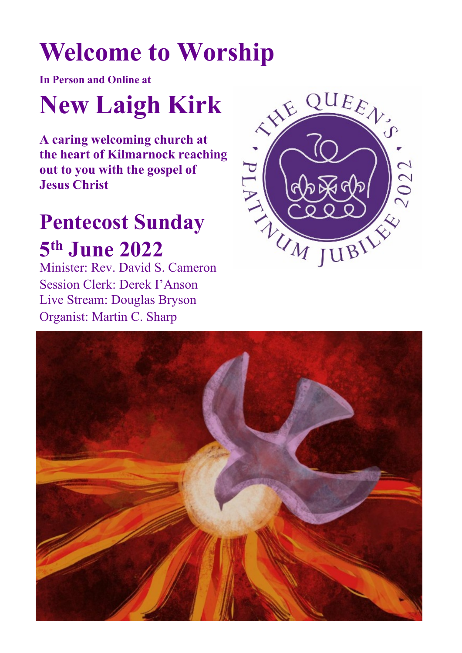## **Welcome to Worship**

**In Person and Online at**

# **New Laigh Kirk**

**A caring welcoming church at the heart of Kilmarnock reaching out to you with the gospel of Jesus Christ**

### **Pentecost Sunday 5 th June 2022**

Minister: Rev. David S. Cameron Session Clerk: Derek I'Anson Live Stream: Douglas Bryson Organist: Martin C. Sharp



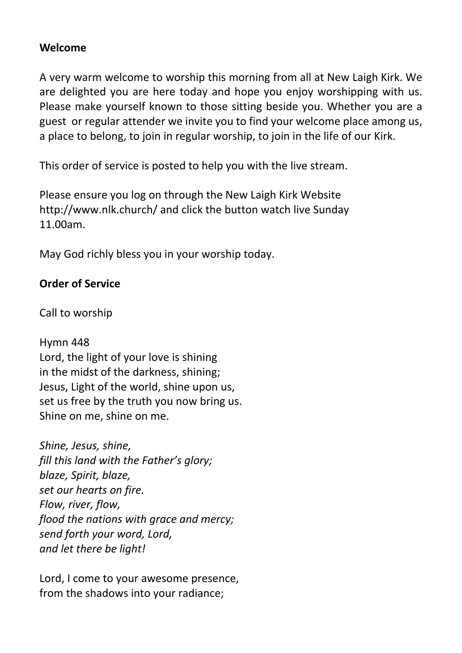#### **Welcome**

A very warm welcome to worship this morning from all at New Laigh Kirk. We are delighted you are here today and hope you enjoy worshipping with us. Please make yourself known to those sitting beside you. Whether you are a guest or regular attender we invite you to find your welcome place among us, a place to belong, to join in regular worship, to join in the life of our Kirk.

This order of service is posted to help you with the live stream.

Please ensure you log on through the New Laigh Kirk Website http://www.nlk.church/ and click the button watch live Sunday 11.00am.

May God richly bless you in your worship today.

### **Order of Service**

Call to worship

Hymn 448 Lord, the light of your love is shining in the midst of the darkness, shining; Jesus, Light of the world, shine upon us, set us free by the truth you now bring us. Shine on me, shine on me.

*Shine, Jesus, shine, fill this land with the Father's glory; blaze, Spirit, blaze, set our hearts on fire. Flow, river, flow, flood the nations with grace and mercy; send forth your word, Lord, and let there be light!*

Lord, I come to your awesome presence, from the shadows into your radiance;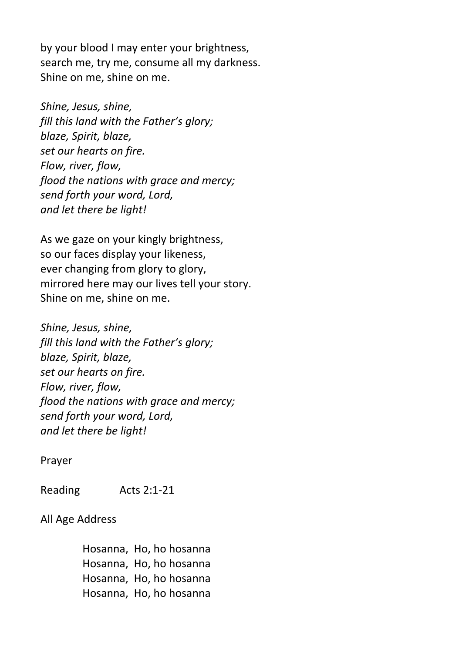by your blood I may enter your brightness, search me, try me, consume all my darkness. Shine on me, shine on me.

*Shine, Jesus, shine, fill this land with the Father's glory; blaze, Spirit, blaze, set our hearts on fire. Flow, river, flow, flood the nations with grace and mercy; send forth your word, Lord, and let there be light!*

As we gaze on your kingly brightness, so our faces display your likeness, ever changing from glory to glory, mirrored here may our lives tell your story. Shine on me, shine on me.

*Shine, Jesus, shine, fill this land with the Father's glory; blaze, Spirit, blaze, set our hearts on fire. Flow, river, flow, flood the nations with grace and mercy; send forth your word, Lord, and let there be light!*

Prayer

Reading Acts 2:1-21

All Age Address

Hosanna, Ho, ho hosanna Hosanna, Ho, ho hosanna Hosanna, Ho, ho hosanna Hosanna, Ho, ho hosanna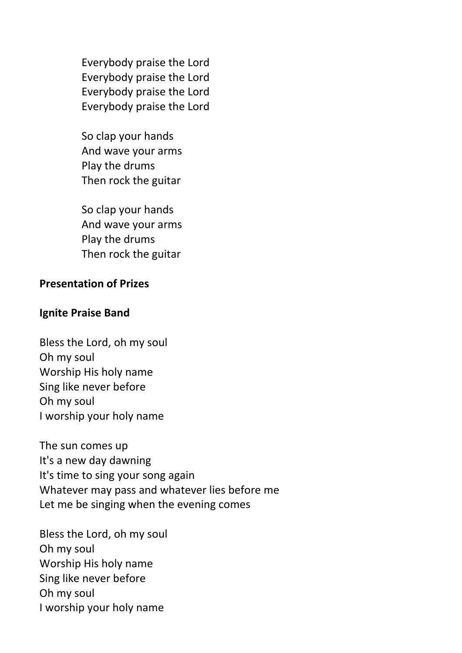Everybody praise the Lord Everybody praise the Lord Everybody praise the Lord Everybody praise the Lord

So clap your hands And wave your arms Play the drums Then rock the guitar

So clap your hands And wave your arms Play the drums Then rock the guitar

#### **Presentation of Prizes**

#### **Ignite Praise Band**

Bless the Lord, oh my soul Oh my soul Worship His holy name Sing like never before Oh my soul I worship your holy name

The sun comes up It's a new day dawning It's time to sing your song again Whatever may pass and whatever lies before me Let me be singing when the evening comes

Bless the Lord, oh my soul Oh my soul Worship His holy name Sing like never before Oh my soul I worship your holy name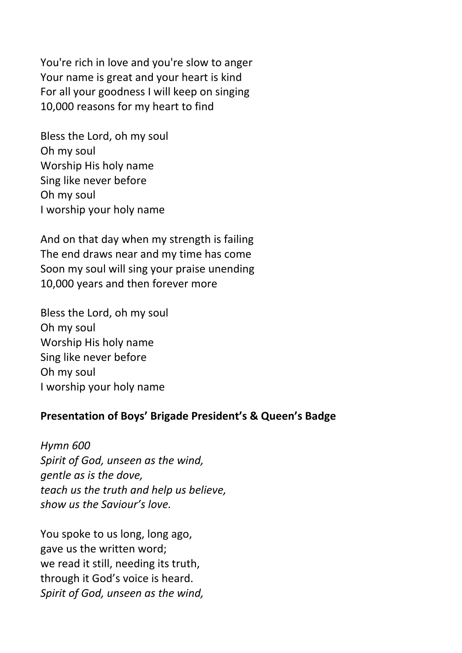You're rich in love and you're slow to anger Your name is great and your heart is kind For all your goodness I will keep on singing 10,000 reasons for my heart to find

Bless the Lord, oh my soul Oh my soul Worship His holy name Sing like never before Oh my soul I worship your holy name

And on that day when my strength is failing The end draws near and my time has come Soon my soul will sing your praise unending 10,000 years and then forever more

Bless the Lord, oh my soul Oh my soul Worship His holy name Sing like never before Oh my soul I worship your holy name

#### **Presentation of Boys' Brigade President's & Queen's Badge**

*Hymn 600 Spirit of God, unseen as the wind, gentle as is the dove, teach us the truth and help us believe, show us the Saviour's love.*

You spoke to us long, long ago, gave us the written word; we read it still, needing its truth, through it God's voice is heard. *Spirit of God, unseen as the wind,*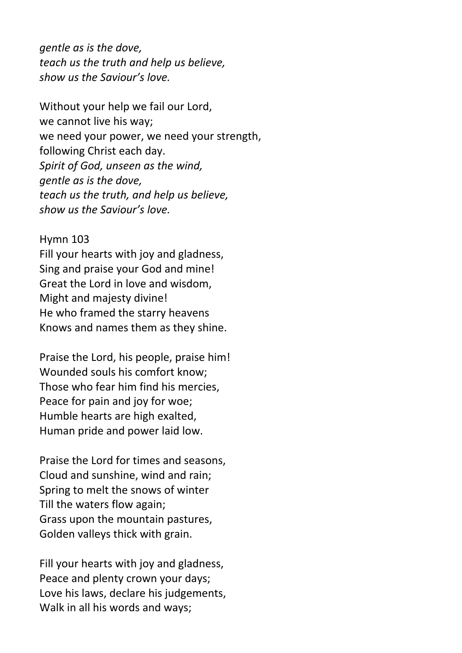*gentle as is the dove, teach us the truth and help us believe, show us the Saviour's love.*

Without your help we fail our Lord, we cannot live his way; we need your power, we need your strength, following Christ each day. *Spirit of God, unseen as the wind, gentle as is the dove, teach us the truth, and help us believe, show us the Saviour's love.*

Hymn 103 Fill your hearts with joy and gladness, Sing and praise your God and mine! Great the Lord in love and wisdom, Might and majesty divine! He who framed the starry heavens Knows and names them as they shine.

Praise the Lord, his people, praise him! Wounded souls his comfort know; Those who fear him find his mercies, Peace for pain and joy for woe; Humble hearts are high exalted, Human pride and power laid low.

Praise the Lord for times and seasons, Cloud and sunshine, wind and rain; Spring to melt the snows of winter Till the waters flow again; Grass upon the mountain pastures, Golden valleys thick with grain.

Fill your hearts with joy and gladness, Peace and plenty crown your days; Love his laws, declare his judgements, Walk in all his words and ways;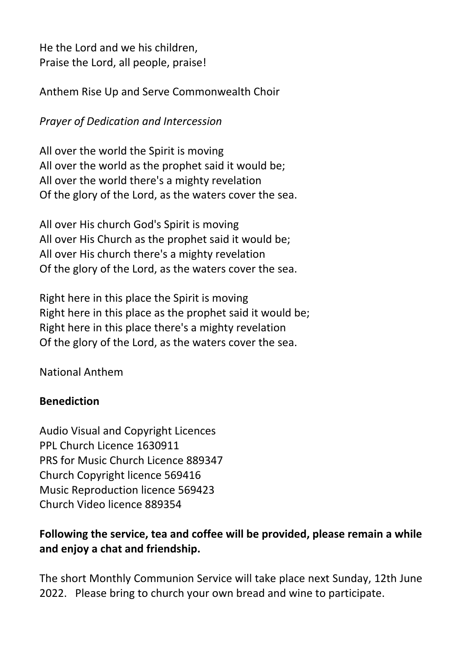He the Lord and we his children, Praise the Lord, all people, praise!

Anthem Rise Up and Serve Commonwealth Choir

*Prayer of Dedication and Intercession*

All over the world the Spirit is moving All over the world as the prophet said it would be; All over the world there's a mighty revelation Of the glory of the Lord, as the waters cover the sea.

All over His church God's Spirit is moving All over His Church as the prophet said it would be; All over His church there's a mighty revelation Of the glory of the Lord, as the waters cover the sea.

Right here in this place the Spirit is moving Right here in this place as the prophet said it would be; Right here in this place there's a mighty revelation Of the glory of the Lord, as the waters cover the sea.

National Anthem

#### **Benediction**

Audio Visual and Copyright Licences PPL Church Licence 1630911 PRS for Music Church Licence 889347 Church Copyright licence 569416 Music Reproduction licence 569423 Church Video licence 889354

### **Following the service, tea and coffee will be provided, please remain a while and enjoy a chat and friendship.**

The short Monthly Communion Service will take place next Sunday, 12th June 2022. Please bring to church your own bread and wine to participate.